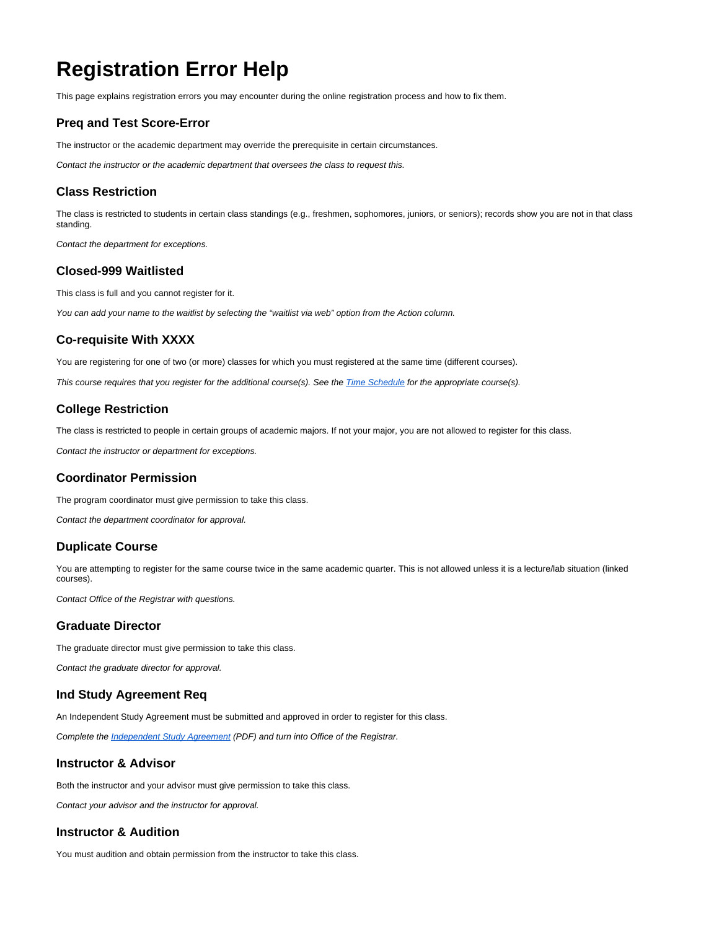# **Registration Error Help**

This page explains registration errors you may encounter during the online registration process and how to fix them.

# **Preq and Test Score-Error**

The instructor or the academic department may override the prerequisite in certain circumstances.

Contact the instructor or the academic department that oversees the class to request this.

#### **Class Restriction**

The class is restricted to students in certain class standings (e.g., freshmen, sophomores, juniors, or seniors); records show you are not in that class standing.

Contact the department for exceptions.

#### **Closed-999 Waitlisted**

This class is full and you cannot register for it.

You can add your name to the waitlist by selecting the "waitlist via web" option from the Action column.

# **Co-requisite With XXXX**

You are registering for one of two (or more) classes for which you must registered at the same time (different courses).

This course requires that you register for the additional course(s). See the [Time Schedule](http://spu.edu/catalog) for the appropriate course(s).

# **College Restriction**

The class is restricted to people in certain groups of academic majors. If not your major, you are not allowed to register for this class.

Contact the instructor or department for exceptions.

# **Coordinator Permission**

The program coordinator must give permission to take this class. Contact the department coordinator for approval.

# **Duplicate Course**

You are attempting to register for the same course twice in the same academic quarter. This is not allowed unless it is a lecture/lab situation (linked courses).

Contact Office of the Registrar with questions.

# **Graduate Director**

The graduate director must give permission to take this class.

Contact the graduate director for approval.

### **Ind Study Agreement Req**

An Independent Study Agreement must be submitted and approved in order to register for this class.

Complete the *[Independent Study Agreement](https://spu.edu/student-academic-services/registration/registering/~/media/student-academic-services/documents/IndependentStudyAgreement.ashx)* (PDF) and turn into Office of the Registrar.

# **Instructor & Advisor**

Both the instructor and your advisor must give permission to take this class.

Contact your advisor and the instructor for approval.

# **Instructor & Audition**

You must audition and obtain permission from the instructor to take this class.